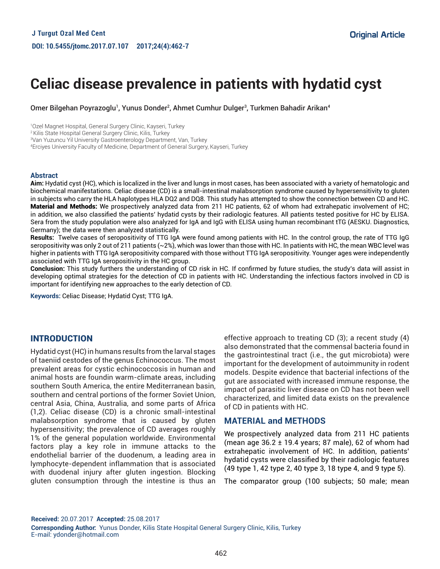# **Celiac disease prevalence in patients with hydatid cyst**

Omer Bilgehan Poyrazoglu<sup>1</sup>, Yunus Donder<sup>2</sup>, Ahmet Cumhur Dulger<sup>3</sup>, Turkmen Bahadir Arikan<sup>4</sup>

1 Ozel Magnet Hospital, General Surgery Clinic, Kayseri, Turkey

<sup>2</sup> Kilis State Hospital General Surgery Clinic, Kilis, Turkey

3 Van Yuzuncu Yil University Gastroenterology Department, Van, Turkey

4 Erciyes University Faculty of Medicine, Department of General Surgery, Kayseri, Turkey

#### **Abstract**

**Aim:** Hydatid cyst (HC), which is localized in the liver and lungs in most cases, has been associated with a variety of hematologic and biochemical manifestations. Celiac disease (CD) is a small-intestinal malabsorption syndrome caused by hypersensitivity to gluten in subjects who carry the HLA haplotypes HLA DQ2 and DQ8. This study has attempted to show the connection between CD and HC. Material and Methods: We prospectively analyzed data from 211 HC patients, 62 of whom had extrahepatic involvement of HC; in addition, we also classified the patients' hydatid cysts by their radiologic features. All patients tested positive for HC by ELISA. Sera from the study population were also analyzed for IgA and IgG with ELISA using human recombinant tTG (AESKU. Diagnostics, Germany); the data were then analyzed statistically.

**Results:** Twelve cases of seropositivity of TTG IgA were found among patients with HC. In the control group, the rate of TTG IgG seropositivity was only 2 out of 211 patients (~2%), which was lower than those with HC. In patients with HC, the mean WBC level was higher in patients with TTG IgA seropositivity compared with those without TTG IgA seropositivity. Younger ages were independently associated with TTG IgA seropositivity in the HC group.

**Conclusion:** This study furthers the understanding of CD risk in HC. If confirmed by future studies, the study's data will assist in developing optimal strategies for the detection of CD in patients with HC. Understanding the infectious factors involved in CD is important for identifying new approaches to the early detection of CD.

**Keywords:** Celiac Disease; Hydatid Cyst; TTG IgA.

#### INTRODUCTION

Hydatid cyst (HC) in humans results from the larval stages of taeniid cestodes of the genus Echinococcus. The most prevalent areas for cystic echinococcosis in human and animal hosts are foundin warm-climate areas, including southern South America, the entire Mediterranean basin, southern and central portions of the former Soviet Union, central Asia, China, Australia, and some parts of Africa (1,2). Celiac disease (CD) is a chronic small-intestinal malabsorption syndrome that is caused by gluten hypersensitivity; the prevalence of CD averages roughly 1% of the general population worldwide. Environmental factors play a key role in immune attacks to the endothelial barrier of the duodenum, a leading area in lymphocyte-dependent inflammation that is associated with duodenal injury after gluten ingestion. Blocking gluten consumption through the intestine is thus an

effective approach to treating CD (3); a recent study (4) also demonstrated that the commensal bacteria found in the gastrointestinal tract (i.e., the gut microbiota) were important for the development of autoimmunity in rodent models. Despite evidence that bacterial infections of the gut are associated with increased immune response, the impact of parasitic liver disease on CD has not been well characterized, and limited data exists on the prevalence of CD in patients with HC.

## **MATERIAL and METHODS**

We prospectively analyzed data from 211 HC patients (mean age 36.2 ± 19.4 years; 87 male), 62 of whom had extrahepatic involvement of HC. In addition, patients' hydatid cysts were classified by their radiologic features (49 type 1, 42 type 2, 40 type 3, 18 type 4, and 9 type 5).

The comparator group (100 subjects; 50 male; mean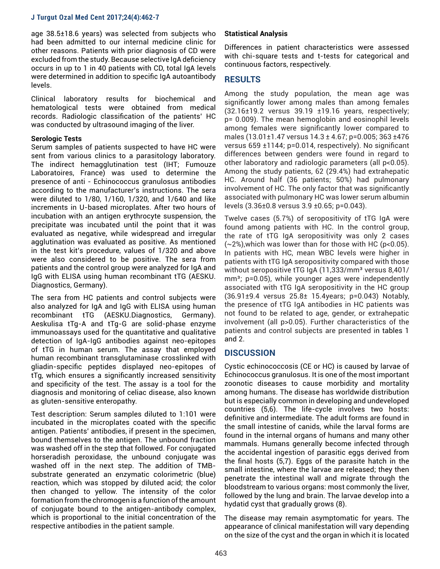age 38.5±18.6 years) was selected from subjects who had been admitted to our internal medicine clinic for other reasons. Patients with prior diagnosis of CD were excluded from the study. Because selective IgA deficiency occurs in up to 1 in 40 patients with CD, total IgA levels were determined in addition to specific IgA autoantibody levels.

Clinical laboratory results for biochemical and hematological tests were obtained from medical records. Radiologic classification of the patients' HC was conducted by ultrasound imaging of the liver.

#### **Serologic Tests**

Serum samples of patients suspected to have HC were sent from various clinics to a parasitology laboratory. The indirect hemagglutination test (IHT; Fumouze Laboratoires, France) was used to determine the presence of anti - Echinococcus granulosus antibodies according to the manufacturer's instructions. The sera were diluted to 1/80, 1/160, 1/320, and 1/640 and like increments in U-based microplates. After two hours of incubation with an antigen erythrocyte suspension, the precipitate was incubated until the point that it was evaluated as negative, while widespread and irregular agglutination was evaluated as positive. As mentioned in the test kit's procedure, values of 1/320 and above were also considered to be positive. The sera from patients and the control group were analyzed for IgA and IgG with ELISA using human recombinant tTG (AESKU. Diagnostics, Germany).

The sera from HC patients and control subjects were also analyzed for IgA and IgG with ELISA using human recombinant tTG (AESKU.Diagnostics, Germany). Aeskulisa tTg-A and tTg-G are solid-phase enzyme immunoassays used for the quantitative and qualitative detection of IgA-IgG antibodies against neo-epitopes of tTG in human serum. The assay that employed human recombinant transglutaminase crosslinked with gliadin-specific peptides displayed neo-epitopes of tTg, which ensures a significantly increased sensitivity and specificity of the test. The assay is a tool for the diagnosis and monitoring of celiac disease, also known as gluten-sensitive enteropathy.

Test description: Serum samples diluted to 1:101 were incubated in the microplates coated with the specific antigen. Patients' antibodies, if present in the specimen, bound themselves to the antigen. The unbound fraction was washed off in the step that followed. For conjugated horseradish peroxidase, the unbound conjugate was washed off in the next step. The addition of TMBsubstrate generated an enzymatic colorimetric (blue) reaction, which was stopped by diluted acid; the color then changed to yellow. The intensity of the color formation from the chromogen is a function of the amount of conjugate bound to the antigen-antibody complex, which is proportional to the initial concentration of the respective antibodies in the patient sample.

## **Statistical Analysis**

Differences in patient characteristics were assessed with chi-square tests and t-tests for categorical and continuous factors, respectively.

## **RESULTS**

Among the study population, the mean age was significantly lower among males than among females (32.16±19.2 versus 39.19 ±19.16 years, respectively; p= 0.009). The mean hemoglobin and eosinophil levels among females were significantly lower compared to males (13.01±1.47 versus 14.3 ± 4.67; p=0.005; 363 ±476 versus 659 ±1144; p=0.014, respectively). No significant differences between genders were found in regard to other laboratory and radiologic parameters (all p<0.05). Among the study patients, 62 (29.4%) had extrahepatic HC. Around half (36 patients; 50%) had pulmonary involvement of HC. The only factor that was significantly associated with pulmonary HC was lower serum albumin levels (3.36±0.8 versus 3.9 ±0.65; p=0.043).

Twelve cases (5.7%) of seropositivity of tTG IgA were found among patients with HC. In the control group, the rate of tTG IgA seropositivity was only 2 cases  $(-2%)$ , which was lower than for those with HC (p<0.05). In patients with HC, mean WBC levels were higher in patients with tTG IgA seropositivity compared with those without seropositive tTG IgA (11,333/mm<sup>3</sup> versus 8,401/  $mm<sup>3</sup>$ ; p=0.05), while younger ages were independently associated with tTG IgA seropositivity in the HC group (36.91±9.4 versus 25.8± 15.4years; p=0.043) Notably, the presence of tTG IgA antibodies in HC patients was not found to be related to age, gender, or extrahepatic involvement (all p>0.05). Further characteristics of the patients and control subjects are presented in tables 1 and 2.

## **DISCUSSION**

Cystic echinococcosis (CE or HC) is caused by larvae of Echinococcus granulosus. It is one of the most important zoonotic diseases to cause morbidity and mortality among humans. The disease has worldwide distribution but is especially common in developing and undeveloped countries (5,6). The life-cycle involves two hosts: definitive and intermediate. The adult forms are found in the small intestine of canids, while the larval forms are found in the internal organs of humans and many other mammals. Humans generally become infected through the accidental ingestion of parasitic eggs derived from the final hosts (5,7). Eggs of the parasite hatch in the small intestine, where the larvae are released; they then penetrate the intestinal wall and migrate through the bloodstream to various organs: most commonly the liver, followed by the lung and brain. The larvae develop into a hydatid cyst that gradually grows (8).

The disease may remain asymptomatic for years. The appearance of clinical manifestation will vary depending on the size of the cyst and the organ in which it is located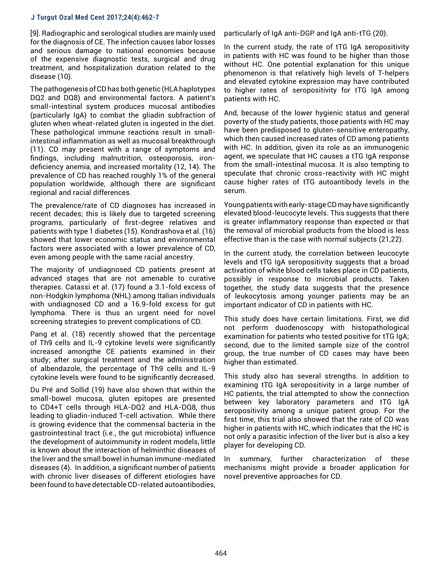[9]. Radiographic and serological studies are mainly used for the diagnosis of CE. The infection causes labor losses and serious damage to national economies because of the expensive diagnostic tests, surgical and drug treatment, and hospitalization duration related to the disease (10).

The pathogenesis of CD has both genetic (HLA haplotypes DQ2 and DQ8) and environmental factors. A patient's small-intestinal system produces mucosal antibodies (particularly IgA) to combat the gliadin subfraction of gluten when wheat-related gluten is ingested in the diet. These pathological immune reactions result in smallintestinal inflammation as well as mucosal breakthrough (11). CD may present with a range of symptoms and findings, including malnutrition, osteoporosis, irondeficiency anemia, and increased mortality (12, 14). The prevalence of CD has reached roughly 1% of the general population worldwide, although there are significant regional and racial differences.

The prevalence/rate of CD diagnoses has increased in recent decades; this is likely due to targeted screening programs, particularly of first-degree relatives and patients with type 1 diabetes (15). Kondrashova et al. (16) showed that lower economic status and environmental factors were associated with a lower prevalence of CD, even among people with the same racial ancestry.

The majority of undiagnosed CD patients present at advanced stages that are not amenable to curative therapies. Catassi et al. (17) found a 3.1-fold excess of non-Hodgkin lymphoma (NHL) among Italian individuals with undiagnosed CD and a 16.9-fold excess for gut lymphoma. There is thus an urgent need for novel screening strategies to prevent complications of CD.

Pang et al. (18) recently showed that the percentage of Th9 cells and IL-9 cytokine levels were significantly increased amongthe CE patients examined in their study; after surgical treatment and the administration of albendazole, the percentage of Th9 cells and IL-9 cytokine levels were found to be significantly decreased.

Du Pré and Sollid (19) have also shown that within the small-bowel mucosa, gluten epitopes are presented to CD4+T cells through HLA-DQ2 and HLA-DQ8, thus leading to gliadin-induced T-cell activation. While there is growing evidence that the commensal bacteria in the gastrointestinal tract (i.e., the gut microbiota) influence the development of autoimmunity in rodent models, little is known about the interaction of helminthic diseases of the liver and the small bowel in human immune-mediated diseases (4). In addition, a significant number of patients with chronic liver diseases of different etiologies have been found to have detectable CD-related autoantibodies,

particularly of IgA anti-DGP and IgA anti-tTG (20).

In the current study, the rate of tTG IgA seropositivity in patients with HC was found to be higher than those without HC. One potential explanation for this unique phenomenon is that relatively high levels of T-helpers and elevated cytokine expression may have contributed to higher rates of seropositivity for tTG IgA among patients with HC.

And, because of the lower hygienic status and general poverty of the study patients, those patients with HC may have been predisposed to gluten-sensitive enteropathy, which then caused increased rates of CD among patients with HC. In addition, given its role as an immunogenic agent, we speculate that HC causes a tTG IgA response from the small-intestinal mucosa. It is also tempting to speculate that chronic cross-reactivity with HC might cause higher rates of tTG autoantibody levels in the serum.

Young patients with early-stage CD may have significantly elevated blood-leucocyte levels. This suggests that there is greater inflammatory response than expected or that the removal of microbial products from the blood is less effective than is the case with normal subjects (21,22).

In the current study, the correlation between leucocyte levels and tTG IgA seropositivity suggests that a broad activation of white blood cells takes place in CD patients, possibly in response to microbial products. Taken together, the study data suggests that the presence of leukocytosis among younger patients may be an important indicator of CD in patients with HC.

This study does have certain limitations. First, we did not perform duodenoscopy with histopathological examination for patients who tested positive for tTG IgA; second, due to the limited sample size of the control group, the true number of CD cases may have been higher than estimated.

This study also has several strengths. In addition to examining tTG IgA seropositivity in a large number of HC patients, the trial attempted to show the connection between key laboratory parameters and tTG IgA seropositivity among a unique patient group. For the first time, this trial also showed that the rate of CD was higher in patients with HC, which indicates that the HC is not only a parasitic infection of the liver but is also a key player for developing CD.

In summary, further characterization of these mechanisms might provide a broader application for novel preventive approaches for CD.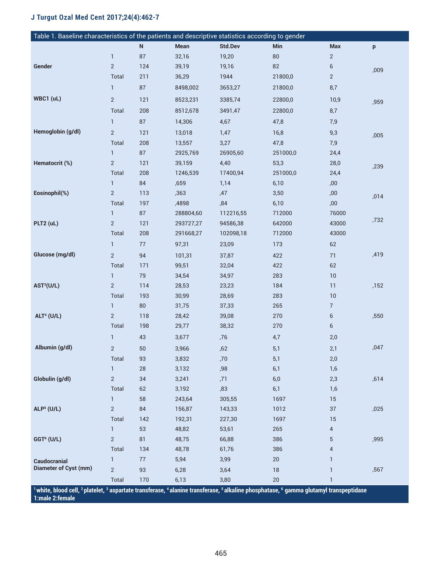| Table 1. Baseline characteristics of the patients and descriptive statistics according to gender                                        |                |        |           |                |          |                |      |  |  |  |
|-----------------------------------------------------------------------------------------------------------------------------------------|----------------|--------|-----------|----------------|----------|----------------|------|--|--|--|
|                                                                                                                                         |                | N      | Mean      | <b>Std.Dev</b> | Min      | <b>Max</b>     | p    |  |  |  |
|                                                                                                                                         | $\mathbf{1}$   | $87\,$ | 32,16     | 19,20          | $80\,$   | $\overline{2}$ |      |  |  |  |
| Gender                                                                                                                                  | $\sqrt{2}$     | 124    | 39,19     | 19,16          | 82       | 6              | ,009 |  |  |  |
|                                                                                                                                         | Total          | 211    | 36,29     | 1944           | 21800,0  | $\overline{c}$ |      |  |  |  |
|                                                                                                                                         | $\mathbf{1}$   | 87     | 8498,002  | 3653,27        | 21800,0  | 8,7            |      |  |  |  |
| WBC1 (uL)                                                                                                                               | $\sqrt{2}$     | 121    | 8523,231  | 3385,74        | 22800,0  | 10,9           | ,959 |  |  |  |
|                                                                                                                                         | Total          | 208    | 8512,678  | 3491,47        | 22800,0  | 8,7            |      |  |  |  |
|                                                                                                                                         | $\mathbf{1}$   | 87     | 14,306    | 4,67           | 47,8     | 7,9            |      |  |  |  |
| Hemoglobin (g/dl)                                                                                                                       | $\mathbf{2}$   | 121    | 13,018    | 1,47           | 16,8     | 9,3            |      |  |  |  |
|                                                                                                                                         | Total          | 208    | 13,557    | 3,27           | 47,8     | 7,9            | ,005 |  |  |  |
|                                                                                                                                         | $\mathbf{1}$   | 87     | 2925,769  | 26905,60       | 251000,0 | 24,4           |      |  |  |  |
| Hematocrit (%)                                                                                                                          | $\sqrt{2}$     | 121    | 39,159    | 4,40           | 53,3     | 28,0           |      |  |  |  |
|                                                                                                                                         | Total          | 208    | 1246,539  | 17400,94       | 251000,0 | 24,4           | ,239 |  |  |  |
|                                                                                                                                         | $\mathbf{1}$   | 84     | ,659      | 1,14           | 6,10     | ,00            |      |  |  |  |
| Eosinophil(%)                                                                                                                           | $\overline{2}$ | 113    | ,363      | ,47            | 3,50     | ,00            | ,014 |  |  |  |
|                                                                                                                                         | Total          | 197    | ,4898     | ,84            | 6,10     | ,00            |      |  |  |  |
|                                                                                                                                         | $\mathbf{1}$   | 87     | 288804,60 | 112216,55      | 712000   | 76000          |      |  |  |  |
| PLT2 (uL)                                                                                                                               | $\mathbf{2}$   | 121    | 293727,27 | 94586,38       | 642000   | 43000          | ,732 |  |  |  |
|                                                                                                                                         | Total          | 208    | 291668,27 | 102098,18      | 712000   | 43000          |      |  |  |  |
|                                                                                                                                         | $\mathbf{1}$   | $77\,$ | 97,31     | 23,09          | 173      | 62             |      |  |  |  |
| Glucose (mg/dl)                                                                                                                         | $\mathbf{2}$   | 94     | 101,31    | 37,87          | 422      | 71             | ,419 |  |  |  |
|                                                                                                                                         | Total          | 171    | 99,51     | 32,04          | 422      | 62             |      |  |  |  |
|                                                                                                                                         | $\mathbf{1}$   | 79     | 34,54     | 34,97          | 283      | 10             |      |  |  |  |
| AST <sup>3</sup> (U/L)                                                                                                                  | $\overline{2}$ | 114    | 28,53     | 23,23          | 184      | 11             | ,152 |  |  |  |
|                                                                                                                                         | Total          | 193    | 30,99     | 28,69          | 283      | 10             |      |  |  |  |
|                                                                                                                                         | $\mathbf{1}$   | 80     | 31,75     | 37,33          | 265      | $\overline{7}$ |      |  |  |  |
| <b>ALT<sup>4</sup></b> (U/L)                                                                                                            | $\overline{2}$ | 118    | 28,42     | 39,08          | 270      | 6              | ,550 |  |  |  |
|                                                                                                                                         | Total          | 198    | 29,77     | 38,32          | 270      | 6              |      |  |  |  |
|                                                                                                                                         | $\mathbf{1}$   | 43     | 3,677     | ,76            | 4,7      | 2,0            |      |  |  |  |
| Albumin (g/dl)                                                                                                                          | $\overline{2}$ | 50     | 3,966     | ,62            | 5,1      | 2,1            | ,047 |  |  |  |
|                                                                                                                                         | Total          | 93     | 3,832     | ,70            | 5,1      | 2,0            |      |  |  |  |
|                                                                                                                                         | $\mathbf{1}$   | 28     | 3,132     | ,98            | 6,1      | 1,6            |      |  |  |  |
| Globulin (g/dl)                                                                                                                         | $\sqrt{2}$     | 34     | 3,241     | ,71            | 6,0      | 2,3            | ,614 |  |  |  |
|                                                                                                                                         | Total          | 62     | 3,192     | ,83            | 6,1      | 1,6            |      |  |  |  |
|                                                                                                                                         | $\mathbf{1}$   | 58     | 243,64    | 305,55         | 1697     | 15             |      |  |  |  |
| <b>ALP<sup>5</sup></b> (U/L)                                                                                                            | $\sqrt{2}$     | 84     | 156,87    | 143,33         | 1012     | 37             | ,025 |  |  |  |
|                                                                                                                                         | Total          | 142    | 192,31    | 227,30         | 1697     | 15             |      |  |  |  |
|                                                                                                                                         | $\mathbf{1}$   | 53     | 48,82     | 53,61          | 265      | 4              |      |  |  |  |
| GGT <sup>6</sup> (U/L)                                                                                                                  | $\sqrt{2}$     | 81     | 48,75     | 66,88          | 386      | 5              | ,995 |  |  |  |
|                                                                                                                                         | Total          | 134    | 48,78     | 61,76          | 386      | 4              |      |  |  |  |
| <b>Caudocranial</b>                                                                                                                     | $\mathbf{1}$   | $77\,$ | 5,94      | 3,99           | 20       | 1              |      |  |  |  |
| <b>Diameter of Cyst (mm)</b>                                                                                                            | $\overline{2}$ | 93     | 6,28      | 3,64           | 18       | $\mathbf{1}$   | ,567 |  |  |  |
|                                                                                                                                         | Total          | 170    | 6,13      | 3,80           | 20       | 1              |      |  |  |  |
| 1 white, blood cell, ?platelet, 3 aspartate transferase, 4 alanine transferase, 5 alkaline phosphatase, 6 gamma glutamyl transpeptidase |                |        |           |                |          |                |      |  |  |  |

**1:male 2:female**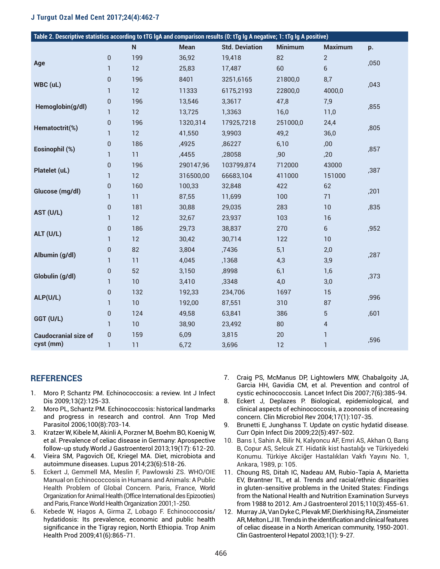| Table 2. Descriptive statistics according to tTG IgA and comparison results (0: tTg Ig A negative; 1: tTg Ig A positive) |                |           |             |                       |                |                |      |  |  |  |  |
|--------------------------------------------------------------------------------------------------------------------------|----------------|-----------|-------------|-----------------------|----------------|----------------|------|--|--|--|--|
|                                                                                                                          |                | ${\sf N}$ | <b>Mean</b> | <b>Std. Deviation</b> | <b>Minimum</b> | <b>Maximum</b> | p.   |  |  |  |  |
| Age                                                                                                                      | $\pmb{0}$      | 199       | 36,92       | 19,418                | 82             | $\overline{2}$ | ,050 |  |  |  |  |
|                                                                                                                          | $\mathbf{1}$   | 12        | 25,83       | 17,487                | 60             | 6              |      |  |  |  |  |
| WBC (uL)                                                                                                                 | $\overline{0}$ | 196       | 8401        | 3251,6165             | 21800,0        | 8,7            | ,043 |  |  |  |  |
|                                                                                                                          | 1              | 12        | 11333       | 6175,2193             | 22800,0        | 4000,0         |      |  |  |  |  |
| Hemoglobin(g/dl)                                                                                                         | $\pmb{0}$      | 196       | 13,546      | 3,3617                | 47,8           | 7,9            | ,855 |  |  |  |  |
|                                                                                                                          | 1              | 12        | 13,725      | 1,3363                | 16,0           | 11,0           |      |  |  |  |  |
| Hematoctrit(%)                                                                                                           | $\mathbf 0$    | 196       | 1320,314    | 17925,7218            | 251000,0       | 24,4           | ,805 |  |  |  |  |
|                                                                                                                          | $\mathbf{1}$   | 12        | 41,550      | 3,9903                | 49,2           | 36,0           |      |  |  |  |  |
| Eosinophil (%)                                                                                                           | $\pmb{0}$      | 186       | ,4925       | ,86227                | 6,10           | ,00            | ,857 |  |  |  |  |
|                                                                                                                          | 1              | 11        | ,4455       | ,28058                | ,90            | ,20            |      |  |  |  |  |
| Platelet (uL)                                                                                                            | $\pmb{0}$      | 196       | 290147,96   | 103799,874            | 712000         | 43000          | ,387 |  |  |  |  |
|                                                                                                                          | $\mathbf{1}$   | 12        | 316500,00   | 66683,104             | 411000         | 151000         |      |  |  |  |  |
| Glucose (mg/dl)                                                                                                          | 0              | 160       | 100,33      | 32,848                | 422            | 62             | ,201 |  |  |  |  |
|                                                                                                                          | $\mathbf{1}$   | 11        | 87,55       | 11,699                | 100            | 71             |      |  |  |  |  |
| AST (U/L)                                                                                                                | $\overline{0}$ | 181       | 30,88       | 29,035                | 283            | 10             | ,835 |  |  |  |  |
|                                                                                                                          | $\mathbf{1}$   | 12        | 32,67       | 23,937                | 103            | 16             |      |  |  |  |  |
| ALT (U/L)                                                                                                                | $\overline{0}$ | 186       | 29,73       | 38,837                | 270            | $6\phantom{a}$ | ,952 |  |  |  |  |
|                                                                                                                          | $\mathbf{1}$   | 12        | 30,42       | 30,714                | 122            | 10             |      |  |  |  |  |
| Albumin (g/dl)                                                                                                           | 0              | 82        | 3,804       | ,7436                 | 5,1            | 2,0            | ,287 |  |  |  |  |
|                                                                                                                          | $\mathbf{1}$   | 11        | 4,045       | ,1368                 | 4,3            | 3,9            |      |  |  |  |  |
| Globulin (g/dl)                                                                                                          | $\mathbf{0}$   | 52        | 3,150       | ,8998                 | 6,1            | 1,6            | ,373 |  |  |  |  |
|                                                                                                                          | $\mathbf{1}$   | 10        | 3,410       | ,3348                 | 4,0            | 3,0            |      |  |  |  |  |
| ALP(U/L)                                                                                                                 | $\mathbf{0}$   | 132       | 192,33      | 234,706               | 1697           | 15             | ,996 |  |  |  |  |
|                                                                                                                          | $\mathbf{1}$   | 10        | 192,00      | 87,551                | 310            | 87             |      |  |  |  |  |
| GGT (U/L)                                                                                                                | $\pmb{0}$      | 124       | 49,58       | 63,841                | 386            | 5              | ,601 |  |  |  |  |
|                                                                                                                          | $\mathbf{1}$   | 10        | 38,90       | 23,492                | 80             | 4              |      |  |  |  |  |
| <b>Caudocranial size of</b><br>cyst (mm)                                                                                 | 0              | 159       | 6,09        | 3,815                 | 20             | $\mathbf{1}$   | ,596 |  |  |  |  |
|                                                                                                                          | 1              | 11        | 6,72        | 3,696                 | 12             | 1              |      |  |  |  |  |

## **REFERENCES**

- 1. Moro P, Schantz PM. Echinococcosis: a review. Int J Infect Dis 2009;13(2):125-33.
- 2. Moro PL, Schantz PM. Echinococcosis: historical landmarks and progress in research and control. Ann Trop Med Parasitol 2006;100(8):703-14.
- 3. Kratzer W, Kibele M, Akinli A, Porzner M, Boehm BO, Koenig W, et al. Prevalence of celiac disease in Germany: Aprospective follow-up study.World J Gastroenterol 2013;19(17): 612-20.
- 4. Vieira SM, Pagovich OE, Kriegel MA. Diet, microbiota and autoimmune diseases. Lupus 2014;23(6):518-26.
- 5. Eckert J, Gemmell MA, Meslin F, Pawlowski ZS. WHO/OIE Manual on Echinococcosis in Humans and Animals: A Public Health Problem of Global Concern. Paris, France, World Organization for Animal Health (Office International des Epizooties) and Paris, France World Health Organization 2001;1-250.
- 6. Kebede W, Hagos A, Girma Z, Lobago F. Echinococcosis/ hydatidosis: Its prevalence, economic and public health significance in the Tigray region, North Ethiopia. Trop Anim Health Prod 2009;41(6):865-71.
- 7. Craig PS, McManus DP, Lightowlers MW, Chabalgoity JA, Garcia HH, Gavidia CM, et al. Prevention and control of cystic echinococcosis. Lancet Infect Dis 2007;7(6):385-94.
- 8. Eckert J, Deplazes P. Biological, epidemiological, and clinical aspects of echinococcosis, a zoonosis of increasing concern. Clin Microbiol Rev 2004;17(1):107-35.
- 9. Brunetti E, Junghanss T. Update on cystic hydatid disease. Curr Opin Infect Dis 2009;22(5):497-502.
- 10. Barıs I, Sahin A, Bilir N, Kalyoncu AF, Emri AS, Akhan O, Barış B, Copur AS, Selcuk ZT. Hidatik kist hastalığı ve Türkiyedeki Konumu. Türkiye Akciğer Hastalıkları Vakfı Yayını No. 1, Ankara, 1989, p: 105.
- 11. Choung RS, Ditah IC, Nadeau AM, Rubio-Tapia A, Marietta EV, Brantner TL, et al. Trends and racial/ethnic disparities in gluten-sensitive problems in the United States: Findings from the National Health and Nutrition Examination Surveys from 1988 to 2012. Am J Gastroenterol 2015;110(3):455-61.
- 12. Murray JA, Van Dyke C, Plevak MF, Dierkhising RA, Zinsmeister AR, Melton LJ III. Trends in the identification and clinical features of celiac disease in a North American community, 1950-2001. Clin Gastroenterol Hepatol 2003;1(1): 9-27.